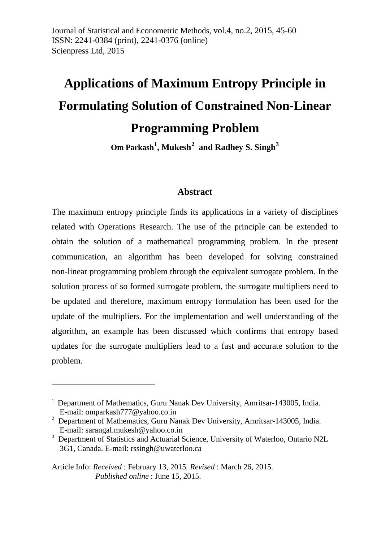# **Applications of Maximum Entropy Principle in Formulating Solution of Constrained Non-Linear Programming Problem**

**Om Parkash[1](#page-0-0) , Mukesh[2](#page-0-1) and Radhey S. Singh[3](#page-0-2)**

### **Abstract**

The maximum entropy principle finds its applications in a variety of disciplines related with Operations Research. The use of the principle can be extended to obtain the solution of a mathematical programming problem. In the present communication, an algorithm has been developed for solving constrained non-linear programming problem through the equivalent surrogate problem. In the solution process of so formed surrogate problem, the surrogate multipliers need to be updated and therefore, maximum entropy formulation has been used for the update of the multipliers. For the implementation and well understanding of the algorithm, an example has been discussed which confirms that entropy based updates for the surrogate multipliers lead to a fast and accurate solution to the problem.

<u>.</u>

<span id="page-0-0"></span><sup>&</sup>lt;sup>1</sup> Department of Mathematics, Guru Nanak Dev University, Amritsar-143005, India. E-mail: omparkash777@yahoo.co.in

<span id="page-0-1"></span> $2$  Department of Mathematics, Guru Nanak Dev University, Amritsar-143005, India. E-mail: sarangal.mukesh@yahoo.co.in

<span id="page-0-2"></span><sup>3</sup> Department of Statistics and Actuarial Science, University of Waterloo, Ontario N2L 3G1, Canada. E-mail: rssingh@uwaterloo.ca

Article Info: *Received* : February 13, 2015*. Revised* : March 26, 2015. *Published online* : June 15, 2015.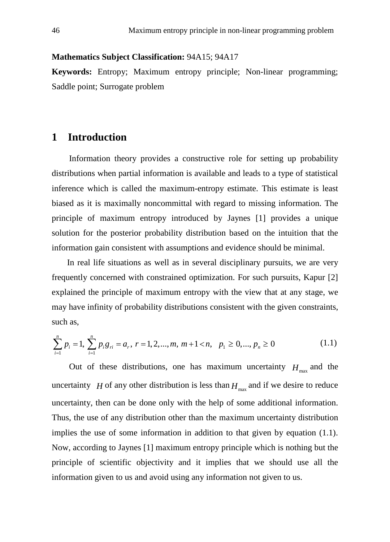#### **Mathematics Subject Classification:** 94A15; 94A17

**Keywords:** Entropy; Maximum entropy principle; Non-linear programming; Saddle point; Surrogate problem

## **1 Introduction**

Information theory provides a constructive role for setting up probability distributions when partial information is available and leads to a type of statistical inference which is called the maximum-entropy estimate. This estimate is least biased as it is maximally noncommittal with regard to missing information. The principle of maximum entropy introduced by Jaynes [1] provides a unique solution for the posterior probability distribution based on the intuition that the information gain consistent with assumptions and evidence should be minimal.

In real life situations as well as in several disciplinary pursuits, we are very frequently concerned with constrained optimization. For such pursuits, Kapur [2] explained the principle of maximum entropy with the view that at any stage, we may have infinity of probability distributions consistent with the given constraints, such as,

$$
\sum_{i=1}^{n} p_i = 1, \sum_{i=1}^{n} p_i g_{ri} = a_r, r = 1, 2, ..., m, m+1 < n, p_1 \ge 0, ..., p_n \ge 0
$$
\n(1.1)

Out of these distributions, one has maximum uncertainty  $H_{\text{max}}$  and the uncertainty *H* of any other distribution is less than  $H_{\text{max}}$  and if we desire to reduce uncertainty, then can be done only with the help of some additional information. Thus, the use of any distribution other than the maximum uncertainty distribution implies the use of some information in addition to that given by equation (1.1). Now, according to Jaynes [1] maximum entropy principle which is nothing but the principle of scientific objectivity and it implies that we should use all the information given to us and avoid using any information not given to us.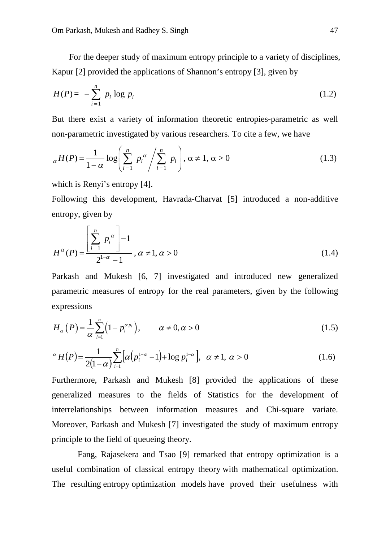For the deeper study of maximum entropy principle to a variety of disciplines, Kapur [2] provided the applications of Shannon's entropy [3], given by

$$
H(P) = -\sum_{i=1}^{n} p_i \log p_i \tag{1.2}
$$

But there exist a variety of information theoretic entropies-parametric as well non-parametric investigated by various researchers. To cite a few, we have

$$
_{\alpha}H(P) = \frac{1}{1-\alpha} \log \left( \sum_{i=1}^{n} p_i^{\alpha} / \sum_{i=1}^{n} p_i \right), \alpha \neq 1, \alpha > 0
$$
 (1.3)

which is Renyi's entropy [4].

Following this development, Havrada-Charvat [5] introduced a non-additive entropy, given by

$$
H^{\alpha}(P) = \frac{\left[\sum_{i=1}^{n} p_i^{\alpha}\right] - 1}{2^{1-\alpha} - 1}, \alpha \neq 1, \alpha > 0
$$
\n(1.4)

Parkash and Mukesh [6, 7] investigated and introduced new generalized parametric measures of entropy for the real parameters, given by the following expressions

$$
H_{\alpha}(P) = \frac{1}{\alpha} \sum_{i=1}^{n} \left(1 - p_i^{\alpha p_i}\right), \qquad \alpha \neq 0, \alpha > 0 \tag{1.5}
$$

$$
{}^{\alpha}H(P) = \frac{1}{2(1-\alpha)}\sum_{i=1}^{n} [\alpha(p_i^{1-\alpha} - 1) + \log p_i^{1-\alpha}], \ \alpha \neq 1, \ \alpha > 0 \tag{1.6}
$$

Furthermore, Parkash and Mukesh [8] provided the applications of these generalized measures to the fields of Statistics for the development of interrelationships between information measures and Chi-square variate. Moreover, Parkash and Mukesh [7] investigated the study of maximum entropy principle to the field of queueing theory.

Fang, Rajasekera and Tsao [9] remarked that entropy optimization is a useful combination of classical entropy theory with mathematical optimization. The resulting entropy optimization models have proved their usefulness with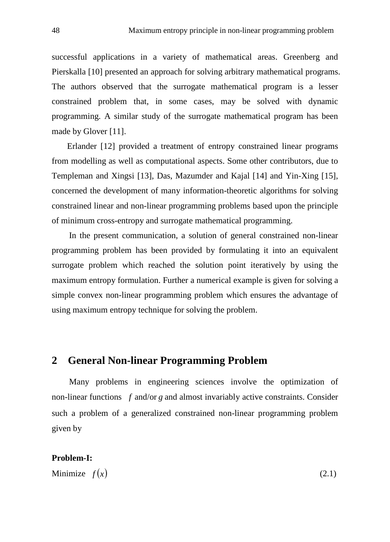successful applications in a variety of mathematical areas. Greenberg and Pierskalla [10] presented an approach for solving arbitrary mathematical programs. The authors observed that the surrogate mathematical program is a lesser constrained problem that, in some cases, may be solved with dynamic programming. A similar study of the surrogate mathematical program has been made by Glover [11].

Erlander [12] provided a treatment of entropy constrained linear programs from modelling as well as computational aspects. Some other contributors, due to Templeman and Xingsi [13], Das, Mazumder and Kajal [14] and Yin-Xing [15], concerned the development of many information-theoretic algorithms for solving constrained linear and non-linear programming problems based upon the principle of minimum cross-entropy and surrogate mathematical programming.

In the present communication, a solution of general constrained non-linear programming problem has been provided by formulating it into an equivalent surrogate problem which reached the solution point iteratively by using the maximum entropy formulation. Further a numerical example is given for solving a simple convex non-linear programming problem which ensures the advantage of using maximum entropy technique for solving the problem.

## **2 General Non-linear Programming Problem**

Many problems in engineering sciences involve the optimization of non-linear functions *f* and/or *g* and almost invariably active constraints. Consider such a problem of a generalized constrained non-linear programming problem given by

#### **Problem-I:**

Minimize  $f(x)$  (2.1)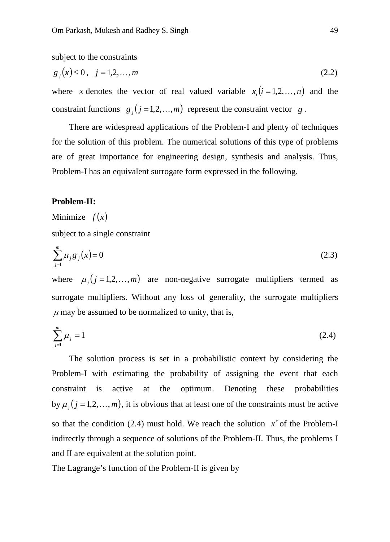subject to the constraints

$$
g_j(x) \le 0, \quad j = 1, 2, \dots, m \tag{2.2}
$$

where *x* denotes the vector of real valued variable  $x_i$  ( $i = 1, 2, ..., n$ ) and the constraint functions  $g_j$  ( $j = 1, 2, ..., m$ ) represent the constraint vector  $g$ .

There are widespread applications of the Problem-I and plenty of techniques for the solution of this problem. The numerical solutions of this type of problems are of great importance for engineering design, synthesis and analysis. Thus, Problem-I has an equivalent surrogate form expressed in the following.

#### **Problem-II:**

Minimize  $f(x)$ 

subject to a single constraint

$$
\sum_{j=1}^{m} \mu_j g_j(x) = 0
$$
\n(2.3)

where  $\mu_j$  ( $j = 1,2,...,m$ ) are non-negative surrogate multipliers termed as surrogate multipliers. Without any loss of generality, the surrogate multipliers  $\mu$  may be assumed to be normalized to unity, that is,

$$
\sum_{j=1}^{m} \mu_j = 1 \tag{2.4}
$$

The solution process is set in a probabilistic context by considering the Problem-I with estimating the probability of assigning the event that each constraint is active at the optimum. Denoting these probabilities by  $\mu_j$  ( $j = 1, 2, ..., m$ ), it is obvious that at least one of the constraints must be active so that the condition (2.4) must hold. We reach the solution  $x^*$  of the Problem-I indirectly through a sequence of solutions of the Problem-II. Thus, the problems I and II are equivalent at the solution point.

The Lagrange's function of the Problem-II is given by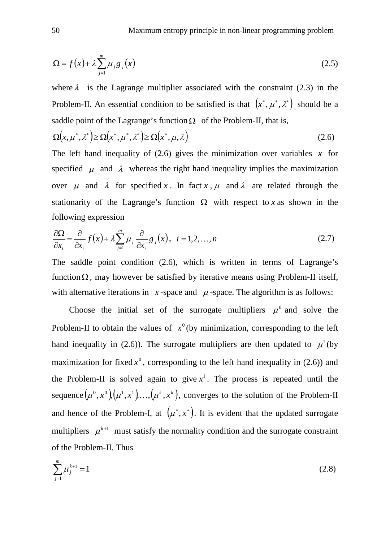$$
\Omega = f(x) + \lambda \sum_{j=1}^{m} \mu_j g_j(x)
$$
\n(2.5)

where  $\lambda$  is the Lagrange multiplier associated with the constraint (2.3) in the Problem-II. An essential condition to be satisfied is that  $(x^*, \mu^*, \lambda^*)$  should be a saddle point of the Lagrange's function  $\Omega$  of the Problem-II, that is,

$$
\Omega(x, \mu^*, \lambda^*) \ge \Omega(x^*, \mu^*, \lambda^*) \ge \Omega(x^*, \mu, \lambda)
$$
\n(2.6)

The left hand inequality of  $(2.6)$  gives the minimization over variables x for specified  $\mu$  and  $\lambda$  whereas the right hand inequality implies the maximization over  $\mu$  and  $\lambda$  for specified x. In fact x,  $\mu$  and  $\lambda$  are related through the stationarity of the Lagrange's function  $\Omega$  with respect to *x* as shown in the following expression

$$
\frac{\partial \Omega}{\partial x_i} = \frac{\partial}{\partial x_i} f(x) + \lambda \sum_{j=1}^m \mu_j \frac{\partial}{\partial x_i} g_j(x), \quad i = 1, 2, ..., n
$$
\n(2.7)

The saddle point condition (2.6), which is written in terms of Lagrange's function  $\Omega$ , may however be satisfied by iterative means using Problem-II itself, with alternative iterations in  $x$ -space and  $\mu$ -space. The algorithm is as follows:

Choose the initial set of the surrogate multipliers  $\mu^0$  and solve the Problem-II to obtain the values of  $x^0$  (by minimization, corresponding to the left hand inequality in (2.6)). The surrogate multipliers are then updated to  $\mu^1$  (by maximization for fixed  $x^0$ , corresponding to the left hand inequality in (2.6)) and the Problem-II is solved again to give  $x<sup>1</sup>$ . The process is repeated until the sequence  $(\mu^0, x^0)(\mu^1, x^1), \ldots, (\mu^k, x^k)$ , converges to the solution of the Problem-II and hence of the Problem-I, at  $(\mu^*, x^*)$ . It is evident that the updated surrogate multipliers  $\mu^{k+1}$  must satisfy the normality condition and the surrogate constraint of the Problem-II. Thus

$$
\sum_{j=1}^{m} \mu_j^{k+1} = 1 \tag{2.8}
$$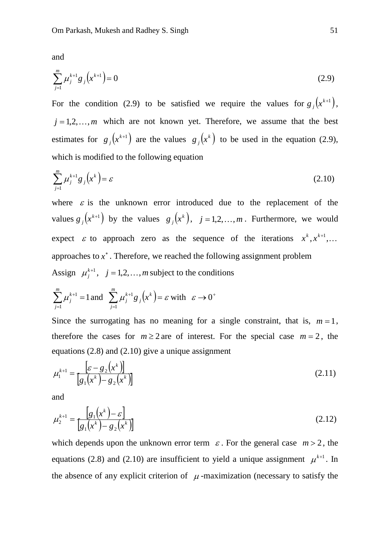and

$$
\sum_{j=1}^{m} \mu_j^{k+1} g_j \left( x^{k+1} \right) = 0 \tag{2.9}
$$

For the condition (2.9) to be satisfied we require the values for  $g_j(x^{k+1})$ ,  $j = 1, 2, \dots, m$  which are not known yet. Therefore, we assume that the best estimates for  $g_j(x^{k+1})$  are the values  $g_j(x^k)$  to be used in the equation (2.9), which is modified to the following equation

$$
\sum_{j=1}^{m} \mu_j^{k+1} g_j\left(x^k\right) = \varepsilon \tag{2.10}
$$

where  $\varepsilon$  is the unknown error introduced due to the replacement of the values  $g_j(x^{k+1})$  by the values  $g_j(x^k)$ ,  $j = 1, 2, ..., m$ . Furthermore, we would expect  $\varepsilon$  to approach zero as the sequence of the iterations  $x^k, x^{k+1}, \ldots$ approaches to  $x^*$ . Therefore, we reached the following assignment problem Assign  $\mu_j^{k+1}$ ,  $j = 1, 2, ..., m$  subject to the conditions

$$
\sum_{j=1}^{m} \mu_j^{k+1} = 1 \text{ and } \sum_{j=1}^{m} \mu_j^{k+1} g_j(x^k) = \varepsilon \text{ with } \varepsilon \to 0^+
$$

Since the surrogating has no meaning for a single constraint, that is,  $m=1$ , therefore the cases for  $m \ge 2$  are of interest. For the special case  $m = 2$ , the equations (2.8) and (2.10) give a unique assignment

$$
\mu_1^{k+1} = \frac{\left[\varepsilon - g_2(x^k)\right]}{\left[g_1(x^k) - g_2(x^k)\right]}
$$
\n(2.11)

and

$$
\mu_2^{k+1} = \frac{[g_1(x^k) - \varepsilon]}{[g_1(x^k) - g_2(x^k)]}
$$
\n(2.12)

which depends upon the unknown error term  $\varepsilon$ . For the general case  $m > 2$ , the equations (2.8) and (2.10) are insufficient to yield a unique assignment  $\mu^{k+1}$ . In the absence of any explicit criterion of  $\mu$ -maximization (necessary to satisfy the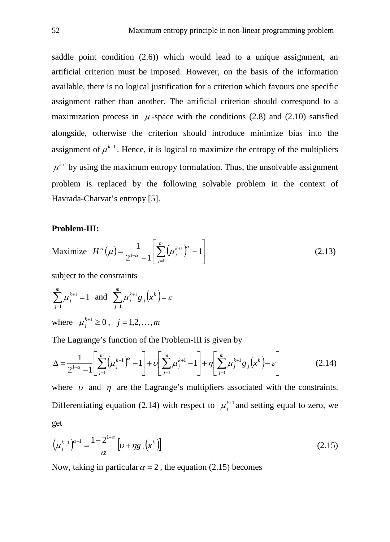saddle point condition (2.6)) which would lead to a unique assignment, an artificial criterion must be imposed. However, on the basis of the information available, there is no logical justification for a criterion which favours one specific assignment rather than another. The artificial criterion should correspond to a maximization process in  $\mu$ -space with the conditions (2.8) and (2.10) satisfied alongside, otherwise the criterion should introduce minimize bias into the assignment of  $\mu^{k+1}$ . Hence, it is logical to maximize the entropy of the multipliers  $\mu^{k+1}$  by using the maximum entropy formulation. Thus, the unsolvable assignment problem is replaced by the following solvable problem in the context of Havrada-Charvat's entropy [5].

#### **Problem-III:**

Maximize 
$$
H^{\alpha}(\mu) = \frac{1}{2^{1-\alpha} - 1} \left[ \sum_{j=1}^{m} (\mu_j^{k+1})^{\alpha} - 1 \right]
$$
 (2.13)

subject to the constraints

$$
\sum_{j=1}^{m} \mu_j^{k+1} = 1 \text{ and } \sum_{j=1}^{m} \mu_j^{k+1} g_j(x^k) = \varepsilon
$$
  
where  $\mu_j^{k+1} \ge 0$ ,  $j = 1, 2, ..., m$ 

The Lagrange's function of the Problem-III is given by

$$
\Delta = \frac{1}{2^{1-\alpha} - 1} \left[ \sum_{j=1}^{m} \left( \mu_j^{k+1} \right)^{\alpha} - 1 \right] + \nu \left[ \sum_{j=1}^{m} \mu_j^{k+1} - 1 \right] + \eta \left[ \sum_{j=1}^{m} \mu_j^{k+1} g_j \left( x^k \right) - \varepsilon \right] \tag{2.14}
$$

where  $\upsilon$  and  $\eta$  are the Lagrange's multipliers associated with the constraints. Differentiating equation (2.14) with respect to  $\mu_j^{k+1}$  and setting equal to zero, we get

$$
\left(\mu_j^{k+1}\right)^{\alpha-1} = \frac{1-2^{1-\alpha}}{\alpha} \left[\nu + \eta g_j\left(x^k\right)\right]
$$
\n(2.15)

Now, taking in particular  $\alpha = 2$ , the equation (2.15) becomes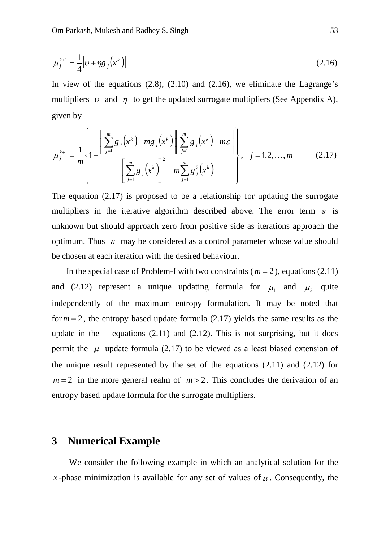$$
\mu_j^{k+1} = \frac{1}{4} \left[ \nu + \eta g_j \left( x^k \right) \right] \tag{2.16}
$$

In view of the equations  $(2.8)$ ,  $(2.10)$  and  $(2.16)$ , we eliminate the Lagrange's multipliers  $\upsilon$  and  $\eta$  to get the updated surrogate multipliers (See Appendix A), given by

$$
\mu_j^{k+1} = \frac{1}{m} \left\{ 1 - \frac{\left[ \sum_{j=1}^m g_j(x^k) - mg_j(x^k) \right] \left[ \sum_{j=1}^m g_j(x^k) - m \epsilon \right]}{\left[ \sum_{j=1}^m g_j(x^k) \right]^2 - m \sum_{j=1}^m g_j^2(x^k)} \right\}, \quad j = 1, 2, ..., m \quad (2.17)
$$

The equation  $(2.17)$  is proposed to be a relationship for updating the surrogate multipliers in the iterative algorithm described above. The error term  $\varepsilon$  is unknown but should approach zero from positive side as iterations approach the optimum. Thus  $\varepsilon$  may be considered as a control parameter whose value should be chosen at each iteration with the desired behaviour.

In the special case of Problem-I with two constraints ( $m = 2$ ), equations (2.11) and (2.12) represent a unique updating formula for  $\mu_1$  and  $\mu_2$  quite independently of the maximum entropy formulation. It may be noted that for  $m = 2$ , the entropy based update formula  $(2.17)$  yields the same results as the update in the equations  $(2.11)$  and  $(2.12)$ . This is not surprising, but it does permit the  $\mu$  update formula (2.17) to be viewed as a least biased extension of the unique result represented by the set of the equations  $(2.11)$  and  $(2.12)$  for  $m = 2$  in the more general realm of  $m > 2$ . This concludes the derivation of an entropy based update formula for the surrogate multipliers.

## **3 Numerical Example**

We consider the following example in which an analytical solution for the *x*-phase minimization is available for any set of values of  $\mu$ . Consequently, the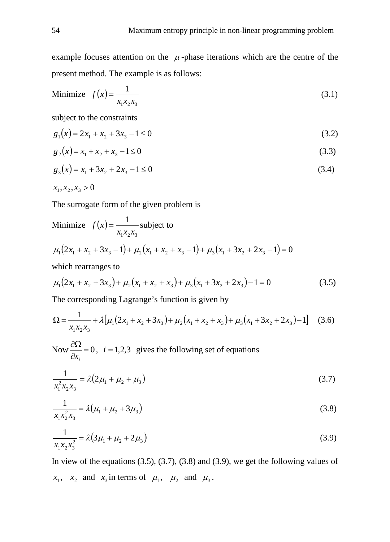example focuses attention on the  $\mu$ -phase iterations which are the centre of the present method. The example is as follows:

Minimize 
$$
f(x) = \frac{1}{x_1 x_2 x_3}
$$
 (3.1)

subject to the constraints

$$
g_1(x) = 2x_1 + x_2 + 3x_3 - 1 \le 0
$$
\n(3.2)

$$
g_2(x) = x_1 + x_2 + x_3 - 1 \le 0
$$
\n(3.3)

$$
g_3(x) = x_1 + 3x_2 + 2x_3 - 1 \le 0
$$
\n(3.4)

$$
x_1, x_2, x_3 > 0
$$

The surrogate form of the given problem is

Minimize 
$$
f(x) = \frac{1}{x_1 x_2 x_3}
$$
 subject to  
\n
$$
\mu_1(2x_1 + x_2 + 3x_3 - 1) + \mu_2(x_1 + x_2 + x_3 - 1) + \mu_3(x_1 + 3x_2 + 2x_3 - 1) = 0
$$
\nwhich rearranges to

which rearranges to

$$
\mu_1(2x_1 + x_2 + 3x_3) + \mu_2(x_1 + x_2 + x_3) + \mu_3(x_1 + 3x_2 + 2x_3) - 1 = 0
$$
\n(3.5)

The corresponding Lagrange's function is given by

$$
\Omega = \frac{1}{x_1 x_2 x_3} + \lambda \left[ \mu_1 (2x_1 + x_2 + 3x_3) + \mu_2 (x_1 + x_2 + x_3) + \mu_3 (x_1 + 3x_2 + 2x_3) - 1 \right] \tag{3.6}
$$

Now  $\frac{\cos 2\theta}{2} = 0$ ∂  $\frac{\partial \Omega}{\partial x_i} = 0$ , *i* = 1,2,3 gives the following set of equations

$$
\frac{1}{x_1^2 x_2 x_3} = \lambda (2\mu_1 + \mu_2 + \mu_3)
$$
\n(3.7)

$$
\frac{1}{x_1 x_2^2 x_3} = \lambda (\mu_1 + \mu_2 + 3\mu_3)
$$
\n(3.8)

$$
\frac{1}{x_1 x_2 x_3^2} = \lambda \left( 3\mu_1 + \mu_2 + 2\mu_3 \right) \tag{3.9}
$$

In view of the equations  $(3.5)$ ,  $(3.7)$ ,  $(3.8)$  and  $(3.9)$ , we get the following values of  $x_1$ ,  $x_2$  and  $x_3$  in terms of  $\mu_1$ ,  $\mu_2$  and  $\mu_3$ .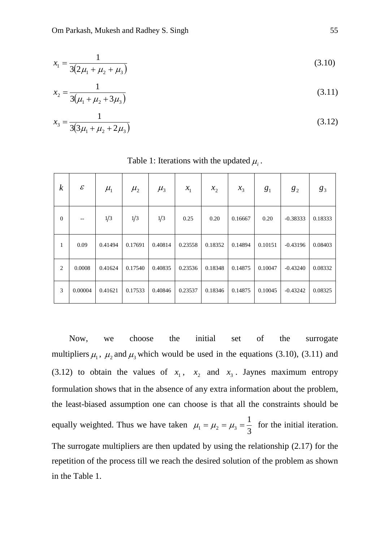$$
x_1 = \frac{1}{3(2\mu_1 + \mu_2 + \mu_3)}
$$
(3.10)

$$
x_2 = \frac{1}{3(\mu_1 + \mu_2 + 3\mu_3)}
$$
(3.11)

$$
x_3 = \frac{1}{3(3\mu_1 + \mu_2 + 2\mu_3)}
$$
(3.12)

| $\boldsymbol{k}$ | $\mathcal E$ | $\mu_{\rm l}$ | $\mu_{2}$ | $\mu_{3}$ | $x_1$   | $x_{2}$ | $x_3$   | g <sub>1</sub> | $g_2$      | $g_3$   |
|------------------|--------------|---------------|-----------|-----------|---------|---------|---------|----------------|------------|---------|
| $\theta$         |              | 1/3           | 1/3       | 1/3       | 0.25    | 0.20    | 0.16667 | 0.20           | $-0.38333$ | 0.18333 |
| 1                | 0.09         | 0.41494       | 0.17691   | 0.40814   | 0.23558 | 0.18352 | 0.14894 | 0.10151        | $-0.43196$ | 0.08403 |
| $\overline{c}$   | 0.0008       | 0.41624       | 0.17540   | 0.40835   | 0.23536 | 0.18348 | 0.14875 | 0.10047        | $-0.43240$ | 0.08332 |
| 3                | 0.00004      | 0.41621       | 0.17533   | 0.40846   | 0.23537 | 0.18346 | 0.14875 | 0.10045        | $-0.43242$ | 0.08325 |

Table 1: Iterations with the updated  $\mu_i$ .

Now, we choose the initial set of the surrogate multipliers  $\mu_1$ ,  $\mu_2$  and  $\mu_3$  which would be used in the equations (3.10), (3.11) and (3.12) to obtain the values of  $x_1$ ,  $x_2$  and  $x_3$ . Jaynes maximum entropy formulation shows that in the absence of any extra information about the problem, the least-biased assumption one can choose is that all the constraints should be equally weighted. Thus we have taken  $\mu_1 = \mu_2 = \mu_3 = \frac{1}{3}$  for the initial iteration. The surrogate multipliers are then updated by using the relationship (2.17) for the repetition of the process till we reach the desired solution of the problem as shown in the Table 1.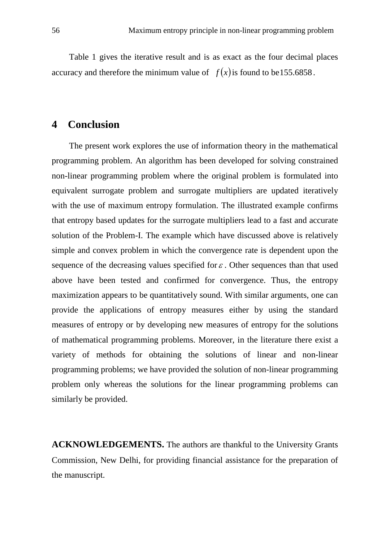Table 1 gives the iterative result and is as exact as the four decimal places accuracy and therefore the minimum value of  $f(x)$  is found to be 155.6858.

## **4 Conclusion**

The present work explores the use of information theory in the mathematical programming problem. An algorithm has been developed for solving constrained non-linear programming problem where the original problem is formulated into equivalent surrogate problem and surrogate multipliers are updated iteratively with the use of maximum entropy formulation. The illustrated example confirms that entropy based updates for the surrogate multipliers lead to a fast and accurate solution of the Problem-I. The example which have discussed above is relatively simple and convex problem in which the convergence rate is dependent upon the sequence of the decreasing values specified for  $\varepsilon$ . Other sequences than that used above have been tested and confirmed for convergence. Thus, the entropy maximization appears to be quantitatively sound. With similar arguments, one can provide the applications of entropy measures either by using the standard measures of entropy or by developing new measures of entropy for the solutions of mathematical programming problems. Moreover, in the literature there exist a variety of methods for obtaining the solutions of linear and non-linear programming problems; we have provided the solution of non-linear programming problem only whereas the solutions for the linear programming problems can similarly be provided.

**ACKNOWLEDGEMENTS.** The authors are thankful to the University Grants Commission, New Delhi, for providing financial assistance for the preparation of the manuscript.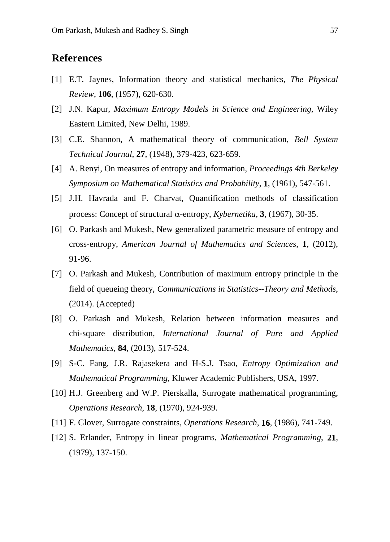## **References**

- [1] E.T. Jaynes, Information theory and statistical mechanics, *The Physical Review*, **106**, (1957), 620-630.
- [2] J.N. Kapur, *Maximum Entropy Models in Science and Engineering*, Wiley Eastern Limited, New Delhi, 1989.
- [3] C.E. Shannon, A mathematical theory of communication, *Bell System Technical Journal*, **27**, (1948), 379-423, 623-659.
- [4] A. Renyi, On measures of entropy and information, *Proceedings 4th Berkeley Symposium on Mathematical Statistics and Probability*, **1**, (1961), 547-561.
- [5] J.H. Havrada and F. Charvat, Quantification methods of classification process: Concept of structural α-entropy, *Kybernetika*, **3**, (1967), 30-35.
- [6] O. Parkash and Mukesh, New generalized parametric measure of entropy and cross-entropy, *American Journal of Mathematics and Sciences*, **1**, (2012), 91-96.
- [7] O. Parkash and Mukesh, Contribution of maximum entropy principle in the field of queueing theory, *Communications in Statistics--Theory and Methods*, (2014). (Accepted)
- [8] O. Parkash and Mukesh, Relation between information measures and chi-square distribution, *International Journal of Pure and Applied Mathematics*, **84**, (2013), 517-524.
- [9] S-C. Fang, J.R. Rajasekera and H-S.J. Tsao, *Entropy Optimization and Mathematical Programming*, Kluwer Academic Publishers, USA, 1997.
- [10] H.J. Greenberg and W.P. Pierskalla, Surrogate mathematical programming, *Operations Research*, **18**, (1970), 924-939.
- [11] F. Glover, Surrogate constraints, *Operations Research*, **16**, (1986), 741-749.
- [12] S. Erlander, Entropy in linear programs, *Mathematical Programming*, **21**, (1979), 137-150.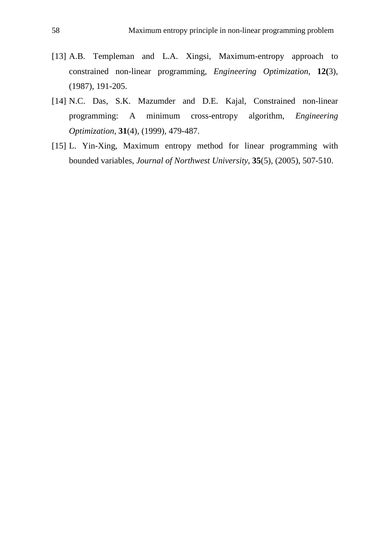- [13] A.B. Templeman and L.A. Xingsi, Maximum-entropy approach to constrained non-linear programming, *Engineering Optimization*, **12(**3), (1987), 191-205.
- [14] N.C. Das, S.K. Mazumder and D.E. Kajal, Constrained non-linear programming: A minimum cross-entropy algorithm, *Engineering Optimization*, **31**(4), (1999), 479-487.
- [15] L. Yin-Xing, Maximum entropy method for linear programming with bounded variables, *Journal of Northwest University*, **35**(5), (2005), 507-510.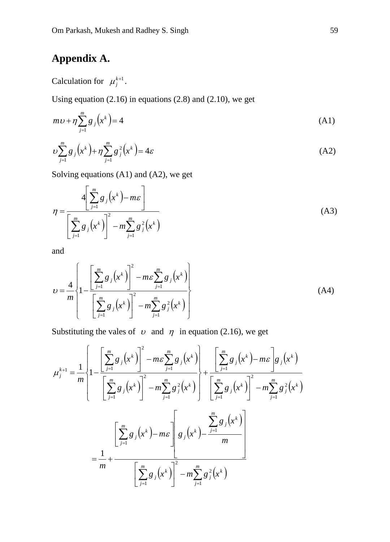## **Appendix A.**

Calculation for  $\mu_j^{k+1}$ .

Using equation (2.16) in equations (2.8) and (2.10), we get

$$
m\upsilon + \eta \sum_{j=1}^{m} g_j \left( x^k \right) = 4 \tag{A1}
$$

$$
\nu \sum_{j=1}^{m} g_j(x^k) + \eta \sum_{j=1}^{m} g_j^2(x^k) = 4\varepsilon
$$
 (A2)

Solving equations (A1) and (A2), we get

$$
\eta = \frac{4\left[\sum_{j=1}^{m} g_j\left(x^k\right) - m\varepsilon\right]}{\left[\sum_{j=1}^{m} g_j\left(x^k\right)\right]^2 - m\sum_{j=1}^{m} g_j^2\left(x^k\right)}
$$
(A3)

and

$$
U = \frac{4}{m} \left\{ 1 - \frac{\left[ \sum_{j=1}^{m} g_j(x^k) \right]^2 - m \varepsilon \sum_{j=1}^{m} g_j(x^k) \right\}}{\left[ \sum_{j=1}^{m} g_j(x^k) \right]^2 - m \sum_{j=1}^{m} g_j^2(x^k)} \right\}
$$
(A4)

Substituting the vales of  $\upsilon$  and  $\eta$  in equation (2.16), we get

$$
\mu_{j}^{k+1} = \frac{1}{m} \left\{ 1 - \frac{\left[ \sum_{j=1}^{m} g_{j}(x^{k}) \right]^{2} - m \varepsilon \sum_{j=1}^{m} g_{j}(x^{k}) \right\} + \frac{\left[ \sum_{j=1}^{m} g_{j}(x^{k}) - m \varepsilon \right] g_{j}(x^{k})}{\left[ \sum_{j=1}^{m} g_{j}(x^{k}) \right]^{2} - m \sum_{j=1}^{m} g_{j}^{2}(x^{k})} \right\} + \frac{\left[ \sum_{j=1}^{m} g_{j}(x^{k}) - m \varepsilon \right] g_{j}(x^{k})}{\left[ \sum_{j=1}^{m} g_{j}(x^{k}) - m \varepsilon \right] g_{j}(x^{k}) - \frac{\sum_{j=1}^{m} g_{j}(x^{k})}{m}} \right\}
$$

$$
= \frac{1}{m} + \frac{\left[ \sum_{j=1}^{m} g_{j}(x^{k}) \right]^{2} - m \sum_{j=1}^{m} g_{j}^{2}(x^{k})}{\left[ \sum_{j=1}^{m} g_{j}(x^{k}) \right]^{2} - m \sum_{j=1}^{m} g_{j}^{2}(x^{k})}
$$